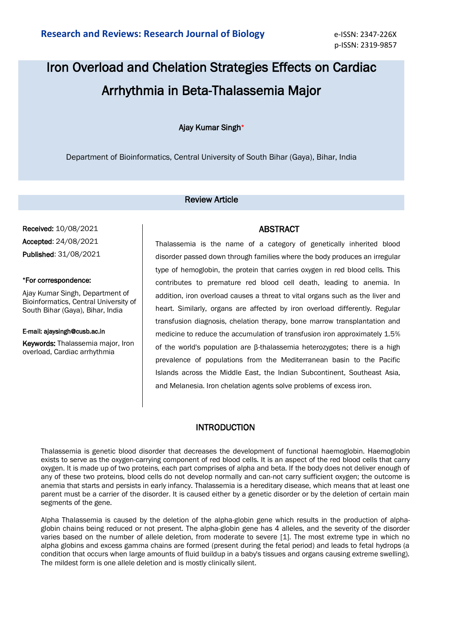# Iron Overload and Chelation Strategies Effects on Cardiac Arrhythmia in Beta-Thalassemia Major

## Ajay Kumar Singh\*

Department of Bioinformatics, Central University of South Bihar (Gaya), Bihar, India

#### Review Article

Received: 10/08/2021 Accepted: 24/08/2021 Published: 31/08/2021

#### \*For correspondence:

Ajay Kumar Singh, Department of Bioinformatics, Central University of South Bihar (Gaya), Bihar, India

#### E-mail: ajaysingh@cusb.ac.in

Keywords: Thalassemia major, Iron overload, Cardiac arrhythmia

Thalassemia is the name of a category of genetically inherited blood disorder passed down through families where the body produces an irregular type of hemoglobin, the protein that carries oxygen in red blood cells. This contributes to premature red blood cell death, leading to anemia. In addition, iron overload causes a threat to vital organs such as the liver and heart. Similarly, organs are affected by iron overload differently. Regular transfusion diagnosis, chelation therapy, bone marrow transplantation and medicine to reduce the accumulation of transfusion iron approximately 1.5% of the world's population are β-thalassemia heterozygotes; there is a high prevalence of populations from the Mediterranean basin to the Pacific Islands across the Middle East, the Indian Subcontinent, Southeast Asia, and Melanesia. Iron chelation agents solve problems of excess iron.

# INTRODUCTION

Thalassemia is genetic blood disorder that decreases the development of functional haemoglobin. Haemoglobin exists to serve as the oxygen-carrying component of red blood cells. It is an aspect of the red blood cells that carry oxygen. It is made up of two proteins, each part comprises of alpha and beta. If the body does not deliver enough of any of these two proteins, blood cells do not develop normally and can-not carry sufficient oxygen; the outcome is anemia that starts and persists in early infancy. Thalassemia is a hereditary disease, which means that at least one parent must be a carrier of the disorder. It is caused either by a genetic disorder or by the deletion of certain main segments of the gene.

Alpha Thalassemia is caused by the deletion of the alpha-globin gene which results in the production of alphaglobin chains being reduced or not present. The alpha-globin gene has 4 alleles, and the severity of the disorder varies based on the number of allele deletion, from moderate to severe [1]. The most extreme type in which no alpha globins and excess gamma chains are formed (present during the fetal period) and leads to fetal hydrops (a condition that occurs when large amounts of fluid buildup in a baby's tissues and organs causing extreme swelling). The mildest form is one allele deletion and is mostly clinically silent.

# ABSTRACT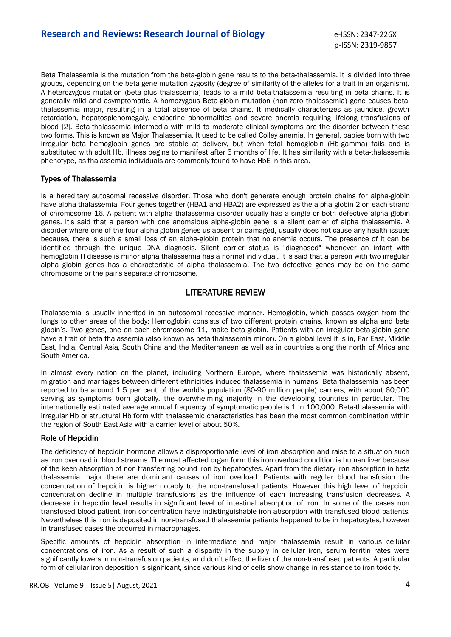Beta Thalassemia is the mutation from the beta-globin gene results to the beta-thalassemia. It is divided into three groups, depending on the beta-gene mutation zygosity (degree of similarity of the alleles for a trait in an organism). A heterozygous mutation (beta-plus thalassemia) leads to a mild beta-thalassemia resulting in beta chains. It is generally mild and asymptomatic. A homozygous Beta-globin mutation (non-zero thalassemia) gene causes betathalassemia major, resulting in a total absence of beta chains. It medically characterizes as jaundice, growth retardation, hepatosplenomegaly, endocrine abnormalities and severe anemia requiring lifelong transfusions of blood [2]. Beta-thalassemia intermedia with mild to moderate clinical symptoms are the disorder between these two forms. This is known as Major Thalassemia. It used to be called Colley anemia. In general, babies born with two irregular beta hemoglobin genes are stable at delivery, but when fetal hemoglobin (Hb-gamma) fails and is substituted with adult Hb, illness begins to manifest after 6 months of life. It has similarity with a beta-thalassemia phenotype, as thalassemia individuals are commonly found to have HbE in this area.

### Types of Thalassemia

Is a hereditary autosomal recessive disorder. Those who don't generate enough protein chains for alpha-globin have alpha thalassemia. Four genes together (HBA1 and HBA2) are expressed as the alpha-globin 2 on each strand of chromosome 16. A patient with alpha thalassemia disorder usually has a single or both defective alpha-globin genes. It's said that a person with one anomalous alpha-globin gene is a silent carrier of alpha thalassemia. A disorder where one of the four alpha-globin genes us absent or damaged, usually does not cause any health issues because, there is such a small loss of an alpha-globin protein that no anemia occurs. The presence of it can be identified through the unique DNA diagnosis. Silent carrier status is "diagnosed" whenever an infant with hemoglobin H disease is minor alpha thalassemia has a normal individual. It is said that a person with two irregular alpha globin genes has a characteristic of alpha thalassemia. The two defective genes may be on the same chromosome or the pair's separate chromosome.

# LITERATURE REVIEW

Thalassemia is usually inherited in an autosomal recessive manner. Hemoglobin, which passes oxygen from the lungs to other areas of the body; Hemoglobin consists of two different protein chains, known as alpha and beta globin's. Two genes, one on each chromosome 11, make beta-globin. Patients with an irregular beta-globin gene have a trait of beta-thalassemia (also known as beta-thalassemia minor). On a global level it is in, Far East, Middle East, India, Central Asia, South China and the Mediterranean as well as in countries along the north of Africa and South America.

In almost every nation on the planet, including Northern Europe, where thalassemia was historically absent, migration and marriages between different ethnicities induced thalassemia in humans. Beta-thalassemia has been reported to be around 1.5 per cent of the world's population (80-90 million people) carriers, with about 60,000 serving as symptoms born globally, the overwhelming majority in the developing countries in particular. The internationally estimated average annual frequency of symptomatic people is 1 in 100,000. Beta-thalassemia with irregular Hb or structural Hb form with thalassemic characteristics has been the most common combination within the region of South East Asia with a carrier level of about 50%.

### Role of Hepcidin

The deficiency of hepcidin hormone allows a disproportionate level of iron absorption and raise to a situation such as iron overload in blood streams. The most affected organ form this iron overload condition is human liver because of the keen absorption of non-transferring bound iron by hepatocytes. Apart from the dietary iron absorption in beta thalassemia major there are dominant causes of iron overload. Patients with regular blood transfusion the concentration of hepcidin is higher notably to the non-transfused patients. However this high level of hepcidin concentration decline in multiple transfusions as the influence of each increasing transfusion decreases. A decrease in hepcidin level results in significant level of intestinal absorption of iron. In some of the cases non transfused blood patient, iron concentration have indistinguishable iron absorption with transfused blood patients. Nevertheless this iron is deposited in non-transfused thalassemia patients happened to be in hepatocytes, however in transfused cases the occurred in macrophages.

Specific amounts of hepcidin absorption in intermediate and major thalassemia result in various cellular concentrations of iron. As a result of such a disparity in the supply in cellular iron, serum ferritin rates were significantly lowers in non-transfusion patients, and don't affect the liver of the non-transfused patients. A particular form of cellular iron deposition is significant, since various kind of cells show change in resistance to iron toxicity.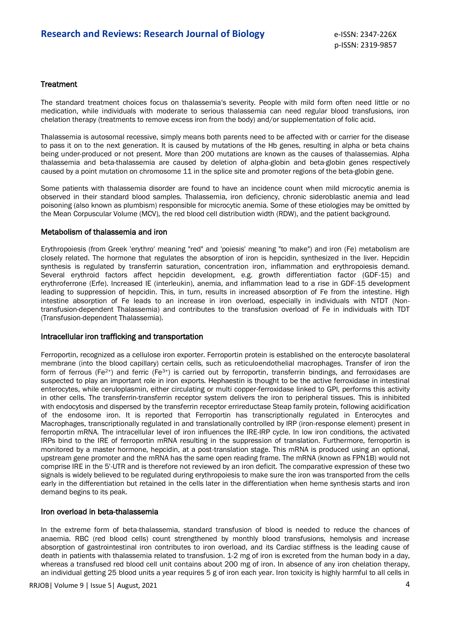#### **Treatment**

The standard treatment choices focus on thalassemia's severity. People with mild form often need little or no medication, while individuals with moderate to serious thalassemia can need regular blood transfusions, iron chelation therapy (treatments to remove excess iron from the body) and/or supplementation of folic acid.

Thalassemia is autosomal recessive, simply means both parents need to be affected with or carrier for the disease to pass it on to the next generation. It is caused by mutations of the Hb genes, resulting in alpha or beta chains being under-produced or not present. More than 200 mutations are known as the causes of thalassemias. Alpha thalassemia and beta-thalassemia are caused by deletion of alpha-globin and beta-globin genes respectively caused by a point mutation on chromosome 11 in the splice site and promoter regions of the beta-globin gene.

Some patients with thalassemia disorder are found to have an incidence count when mild microcytic anemia is observed in their standard blood samples. Thalassemia, iron deficiency, chronic sideroblastic anemia and lead poisoning (also known as plumbism) responsible for microcytic anemia. Some of these etiologies may be omitted by the Mean Corpuscular Volume (MCV), the red blood cell distribution width (RDW), and the patient background.

#### Metabolism of thalassemia and iron

Erythropoiesis (from Greek 'erythro' meaning "red" and 'poiesis' meaning "to make") and iron (Fe) metabolism are closely related. The hormone that regulates the absorption of iron is hepcidin, synthesized in the liver. Hepcidin synthesis is regulated by transferrin saturation, concentration iron, inflammation and erythropoiesis demand. Several erythroid factors affect hepcidin development, e.g. growth differentiation factor (GDF-15) and erythroferrone (Erfe). Increased IE (interleukin), anemia, and inflammation lead to a rise in GDF-15 development leading to suppression of hepcidin. This, in turn, results in increased absorption of Fe from the intestine. High intestine absorption of Fe leads to an increase in iron overload, especially in individuals with NTDT (Nontransfusion-dependent Thalassemia) and contributes to the transfusion overload of Fe in individuals with TDT (Transfusion-dependent Thalassemia).

#### Intracellular iron trafficking and transportation

Ferroportin, recognized as a cellulose iron exporter. Ferroportin protein is established on the enterocyte basolateral membrane (into the blood capillary) certain cells, such as reticuloendothelial macrophages. Transfer of iron the form of ferrous (Fe<sup>2+</sup>) and ferric (Fe<sup>3+</sup>) is carried out by ferroportin, transferrin bindings, and ferroxidases are suspected to play an important role in iron exports. Hephaestin is thought to be the active ferroxidase in intestinal enterocytes, while ceruloplasmin, either circulating or multi copper-ferroxidase linked to GPI, performs this activity in other cells. The transferrin-transferrin receptor system delivers the iron to peripheral tissues. This is inhibited with endocytosis and dispersed by the transferrin receptor errireductase Steap family protein, following acidification of the endosome iron. It is reported that Ferroportin has transcriptionally regulated in Enterocytes and Macrophages, transcriptionally regulated in and translationally controlled by IRP (iron-response element) present in ferroportin mRNA. The intracellular level of iron influences the IRE-IRP cycle. In low iron conditions, the activated IRPs bind to the IRE of ferroportin mRNA resulting in the suppression of translation. Furthermore, ferroportin is monitored by a master hormone, hepcidin, at a post-translation stage. This mRNA is produced using an optional, upstream gene promoter and the mRNA has the same open reading frame. The mRNA (known as FPN1B) would not comprise IRE in the 5'-UTR and is therefore not reviewed by an iron deficit. The comparative expression of these two signals is widely believed to be regulated during erythropoiesis to make sure the iron was transported from the cells early in the differentiation but retained in the cells later in the differentiation when heme synthesis starts and iron demand begins to its peak.

#### Iron overload in beta-thalassemia

In the extreme form of beta-thalassemia, standard transfusion of blood is needed to reduce the chances of anaemia. RBC (red blood cells) count strengthened by monthly blood transfusions, hemolysis and increase absorption of gastrointestinal iron contributes to iron overload, and its Cardiac stiffness is the leading cause of death in patients with thalassemia related to transfusion. 1-2 mg of iron is excreted from the human body in a day, whereas a transfused red blood cell unit contains about 200 mg of iron. In absence of any iron chelation therapy, an individual getting 25 blood units a year requires 5 g of iron each year. Iron toxicity is highly harmful to all cells in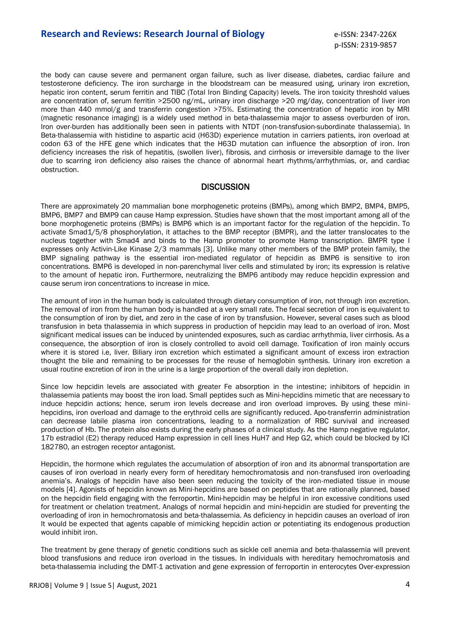the body can cause severe and permanent organ failure, such as liver disease, diabetes, cardiac failure and testosterone deficiency. The iron surcharge in the bloodstream can be measured using, urinary iron excretion, hepatic iron content, serum ferritin and TIBC (Total Iron Binding Capacity) levels. The iron toxicity threshold values are concentration of, serum ferritin >2500 ng/mL, urinary iron discharge >20 mg/day, concentration of liver iron more than 440 mmol/g and transferrin congestion >75%. Estimating the concentration of hepatic iron by MRI (magnetic resonance imaging) is a widely used method in beta-thalassemia major to assess overburden of iron. Iron over-burden has additionally been seen in patients with NTDT (non-transfusion-subordinate thalassemia). In Beta-thalassemia with histidine to aspartic acid (H63D) experience mutation in carriers patients, iron overload at codon 63 of the HFE gene which indicates that the H63D mutation can influence the absorption of iron. Iron deficiency increases the risk of hepatitis, (swollen liver), fibrosis, and cirrhosis or irreversible damage to the liver due to scarring iron deficiency also raises the chance of abnormal heart rhythms/arrhythmias, or, and cardiac obstruction.

# **DISCUSSION**

There are approximately 20 mammalian bone morphogenetic proteins (BMPs), among which BMP2, BMP4, BMP5, BMP6, BMP7 and BMP9 can cause Hamp expression. Studies have shown that the most important among all of the bone morphogenetic proteins (BMPs) is BMP6 which is an important factor for the regulation of the hepcidin. To activate Smad1/5/8 phosphorylation, it attaches to the BMP receptor (BMPR), and the latter translocates to the nucleus together with Smad4 and binds to the Hamp promoter to promote Hamp transcription. BMPR type I expresses only Activin-Like Kinase 2/3 mammals [3]. Unlike many other members of the BMP protein family, the BMP signaling pathway is the essential iron-mediated regulator of hepcidin as BMP6 is sensitive to iron concentrations. BMP6 is developed in non-parenchymal liver cells and stimulated by iron; its expression is relative to the amount of hepatic iron. Furthermore, neutralizing the BMP6 antibody may reduce hepcidin expression and cause serum iron concentrations to increase in mice.

The amount of iron in the human body is calculated through dietary consumption of iron, not through iron excretion. The removal of iron from the human body is handled at a very small rate. The fecal secretion of iron is equivalent to the consumption of iron by diet, and zero in the case of iron by transfusion. However, several cases such as blood transfusion in beta thalassemia in which suppress in production of hepcidin may lead to an overload of iron. Most significant medical issues can be induced by unintended exposures, such as cardiac arrhythmia, liver cirrhosis. As a consequence, the absorption of iron is closely controlled to avoid cell damage. Toxification of iron mainly occurs where it is stored i.e, liver. Biliary iron excretion which estimated a significant amount of excess iron extraction thought the bile and remaining to be processes for the reuse of hemoglobin synthesis. Urinary iron excretion a usual routine excretion of iron in the urine is a large proportion of the overall daily iron depletion.

Since low hepcidin levels are associated with greater Fe absorption in the intestine; inhibitors of hepcidin in thalassemia patients may boost the iron load. Small peptides such as Mini-hepcidins mimetic that are necessary to induce hepcidin actions; hence, serum iron levels decrease and iron overload improves. By using these minihepcidins, iron overload and damage to the erythroid cells are significantly reduced. Apo-transferrin administration can decrease labile plasma iron concentrations, leading to a normalization of RBC survival and increased production of Hb. The protein also exists during the early phases of a clinical study. As the Hamp negative regulator, 17b estradiol (E2) therapy reduced Hamp expression in cell lines HuH7 and Hep G2, which could be blocked by ICI 182780, an estrogen receptor antagonist.

Hepcidin, the hormone which regulates the accumulation of absorption of iron and its abnormal transportation are causes of iron overload in nearly every form of hereditary hemochromatosis and non-transfused iron overloading anemia's. Analogs of hepcidin have also been seen reducing the toxicity of the iron-mediated tissue in mouse models [4]. Agonists of hepcidin known as Mini-hepcidins are based on peptides that are rationally planned, based on the hepcidin field engaging with the ferroportin. Mini-hepcidin may be helpful in iron excessive conditions used for treatment or chelation treatment. Analogs of normal hepcidin and mini-hepcidin are studied for preventing the overloading of iron in hemochromatosis and beta-thalassemia. As deficiency in hepcidin causes an overload of iron It would be expected that agents capable of mimicking hepcidin action or potentiating its endogenous production would inhibit iron.

The treatment by gene therapy of genetic conditions such as sickle cell anemia and beta-thalassemia will prevent blood transfusions and reduce iron overload in the tissues. In individuals with hereditary hemochromatosis and beta-thalassemia including the DMT-1 activation and gene expression of ferroportin in enterocytes Over-expression